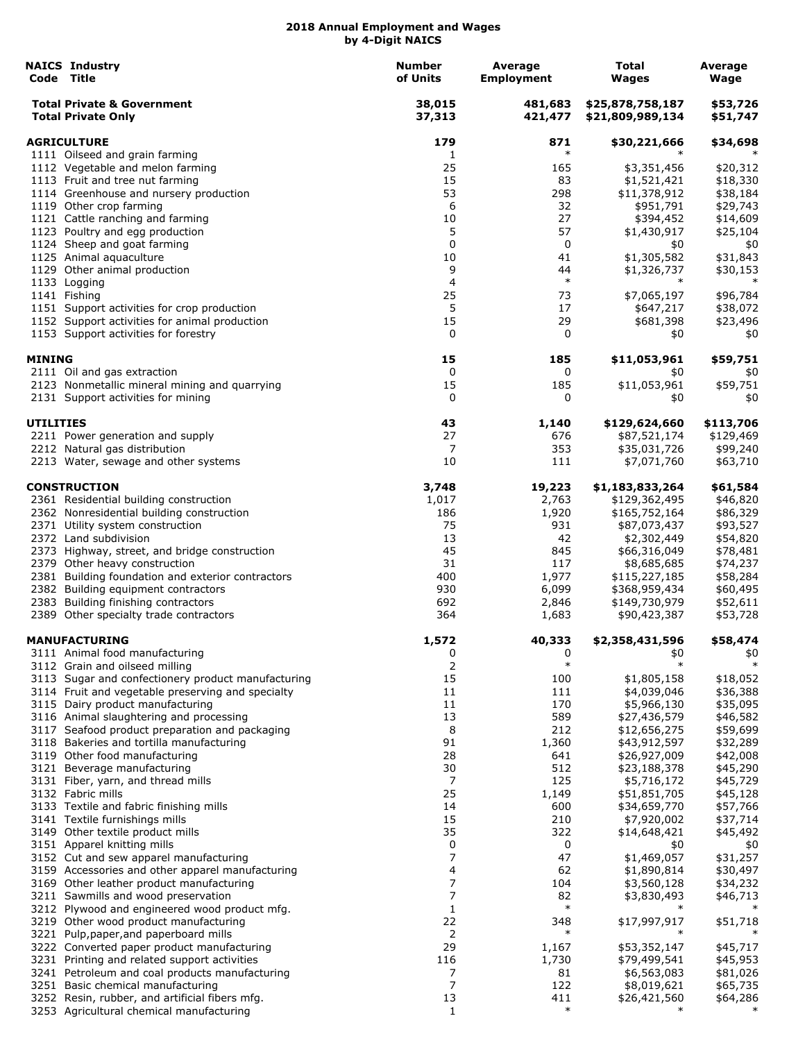|                    | <b>NAICS Industry</b><br>Code Title                                                        | <b>Number</b><br>of Units | Average<br><b>Employment</b> | Total<br>Wages                       | Average<br>Wage      |
|--------------------|--------------------------------------------------------------------------------------------|---------------------------|------------------------------|--------------------------------------|----------------------|
|                    | <b>Total Private &amp; Government</b><br><b>Total Private Only</b>                         | 38,015<br>37,313          | 481,683<br>421,477           | \$25,878,758,187<br>\$21,809,989,134 | \$53,726<br>\$51,747 |
| <b>AGRICULTURE</b> |                                                                                            | 179                       | 871                          | \$30,221,666                         | \$34,698             |
|                    | 1111 Oilseed and grain farming                                                             | 1                         | $\ast$                       |                                      |                      |
|                    | 1112 Vegetable and melon farming                                                           | 25                        | 165                          | \$3,351,456                          | \$20,312             |
|                    | 1113 Fruit and tree nut farming                                                            | 15                        | 83                           | \$1,521,421                          | \$18,330             |
|                    | 1114 Greenhouse and nursery production                                                     | 53                        | 298                          | \$11,378,912                         | \$38,184             |
|                    | 1119 Other crop farming                                                                    | 6                         | 32                           | \$951,791                            | \$29,743             |
|                    | 1121 Cattle ranching and farming                                                           | 10                        | 27                           | \$394,452                            | \$14,609             |
|                    | 1123 Poultry and egg production                                                            | 5                         | 57                           | \$1,430,917                          | \$25,104             |
|                    | 1124 Sheep and goat farming                                                                | 0                         | 0                            | \$0                                  | \$0                  |
|                    | 1125 Animal aquaculture                                                                    | 10<br>9                   | 41                           | \$1,305,582                          | \$31,843             |
|                    | 1129 Other animal production<br>1133 Logging                                               | 4                         | 44<br>$\ast$                 | \$1,326,737<br>$\ast$                | \$30,153<br>$\ast$   |
|                    | 1141 Fishing                                                                               | 25                        | 73                           | \$7,065,197                          | \$96,784             |
|                    | 1151 Support activities for crop production                                                | 5                         | 17                           | \$647,217                            | \$38,072             |
|                    | 1152 Support activities for animal production                                              | 15                        | 29                           | \$681,398                            | \$23,496             |
|                    | 1153 Support activities for forestry                                                       | 0                         | 0                            | \$0                                  | \$0                  |
| <b>MINING</b>      |                                                                                            | 15                        | 185                          | \$11,053,961                         | \$59,751             |
|                    | 2111 Oil and gas extraction                                                                | 0                         | 0                            | \$0                                  | \$0                  |
|                    | 2123 Nonmetallic mineral mining and quarrying                                              | 15                        | 185                          | \$11,053,961                         | \$59,751             |
|                    | 2131 Support activities for mining                                                         | 0                         | 0                            | \$0                                  | \$0                  |
| <b>UTILITIES</b>   |                                                                                            | 43                        | 1,140                        | \$129,624,660                        | \$113,706            |
|                    | 2211 Power generation and supply                                                           | 27                        | 676                          | \$87,521,174                         | \$129,469            |
|                    | 2212 Natural gas distribution                                                              | 7                         | 353                          | \$35,031,726                         | \$99,240             |
|                    | 2213 Water, sewage and other systems                                                       | 10                        | 111                          | \$7,071,760                          | \$63,710             |
|                    | <b>CONSTRUCTION</b>                                                                        | 3,748                     | 19,223                       | \$1,183,833,264                      | \$61,584             |
|                    | 2361 Residential building construction                                                     | 1,017                     | 2,763                        | \$129,362,495                        | \$46,820             |
|                    | 2362 Nonresidential building construction                                                  | 186                       | 1,920                        | \$165,752,164                        | \$86,329             |
|                    | 2371 Utility system construction                                                           | 75                        | 931                          | \$87,073,437                         | \$93,527             |
|                    | 2372 Land subdivision                                                                      | 13                        | 42                           | \$2,302,449                          | \$54,820             |
|                    | 2373 Highway, street, and bridge construction                                              | 45                        | 845                          | \$66,316,049                         | \$78,481             |
|                    | 2379 Other heavy construction                                                              | 31                        | 117                          | \$8,685,685                          | \$74,237             |
|                    | 2381 Building foundation and exterior contractors                                          | 400                       | 1,977                        | \$115,227,185                        | \$58,284             |
|                    | 2382 Building equipment contractors                                                        | 930                       | 6,099                        | \$368,959,434                        | \$60,495             |
|                    | 2383 Building finishing contractors                                                        | 692                       | 2,846                        | \$149,730,979                        | \$52,611             |
|                    | 2389 Other specialty trade contractors                                                     | 364                       | 1,683                        | \$90,423,387                         | \$53,728             |
|                    | <b>MANUFACTURING</b>                                                                       | 1,572                     | 40,333                       | \$2,358,431,596                      | \$58,474             |
|                    | 3111 Animal food manufacturing                                                             | 0                         | 0<br>$\ast$                  | \$0<br>$\ast$                        | \$0                  |
|                    | 3112 Grain and oilseed milling                                                             | 2                         |                              |                                      |                      |
|                    | 3113 Sugar and confectionery product manufacturing                                         | 15                        | 100                          | \$1,805,158                          | \$18,052             |
|                    | 3114 Fruit and vegetable preserving and specialty                                          | 11                        | 111                          | \$4,039,046                          | \$36,388             |
|                    | 3115 Dairy product manufacturing<br>3116 Animal slaughtering and processing                | 11                        | 170                          | \$5,966,130                          | \$35,095             |
|                    |                                                                                            | 13<br>8                   | 589<br>212                   | \$27,436,579                         | \$46,582             |
|                    | 3117 Seafood product preparation and packaging<br>3118 Bakeries and tortilla manufacturing | 91                        | 1,360                        | \$12,656,275<br>\$43,912,597         | \$59,699<br>\$32,289 |
|                    | 3119 Other food manufacturing                                                              | 28                        | 641                          | \$26,927,009                         | \$42,008             |
|                    | 3121 Beverage manufacturing                                                                | 30                        | 512                          | \$23,188,378                         | \$45,290             |
|                    | 3131 Fiber, yarn, and thread mills                                                         | 7                         | 125                          | \$5,716,172                          | \$45,729             |
|                    | 3132 Fabric mills                                                                          | 25                        | 1,149                        | \$51,851,705                         | \$45,128             |
|                    | 3133 Textile and fabric finishing mills                                                    | 14                        | 600                          | \$34,659,770                         | \$57,766             |
|                    | 3141 Textile furnishings mills                                                             | 15                        | 210                          | \$7,920,002                          | \$37,714             |
|                    | 3149 Other textile product mills                                                           | 35                        | 322                          | \$14,648,421                         | \$45,492             |
|                    | 3151 Apparel knitting mills                                                                | 0                         | 0                            | \$0                                  | \$0                  |
|                    | 3152 Cut and sew apparel manufacturing                                                     | 7                         | 47                           | \$1,469,057                          | \$31,257             |
|                    | 3159 Accessories and other apparel manufacturing                                           | 4                         | 62                           | \$1,890,814                          | \$30,497             |
|                    | 3169 Other leather product manufacturing                                                   | 7                         | 104                          | \$3,560,128                          | \$34,232             |
|                    | 3211 Sawmills and wood preservation                                                        | 7                         | 82                           | \$3,830,493                          | \$46,713             |
|                    | 3212 Plywood and engineered wood product mfg.                                              | $\mathbf{1}$              | $\ast$                       | $\ast$                               |                      |
|                    | 3219 Other wood product manufacturing                                                      | 22                        | 348                          | \$17,997,917                         | \$51,718             |
|                    | 3221 Pulp, paper, and paperboard mills                                                     | 2                         | $\ast$                       | $\ast$                               |                      |
|                    | 3222 Converted paper product manufacturing                                                 | 29                        | 1,167                        | \$53,352,147                         | \$45,717             |
|                    | 3231 Printing and related support activities                                               | 116                       | 1,730                        | \$79,499,541                         | \$45,953             |
|                    | 3241 Petroleum and coal products manufacturing                                             | 7                         | 81                           | \$6,563,083                          | \$81,026             |
|                    | 3251 Basic chemical manufacturing                                                          | 7                         | 122                          | \$8,019,621                          | \$65,735             |
|                    | 3252 Resin, rubber, and artificial fibers mfg.                                             | 13                        | 411                          | \$26,421,560                         | \$64,286             |
|                    | 3253 Agricultural chemical manufacturing                                                   | $\mathbf{1}$              | $\ast$                       |                                      |                      |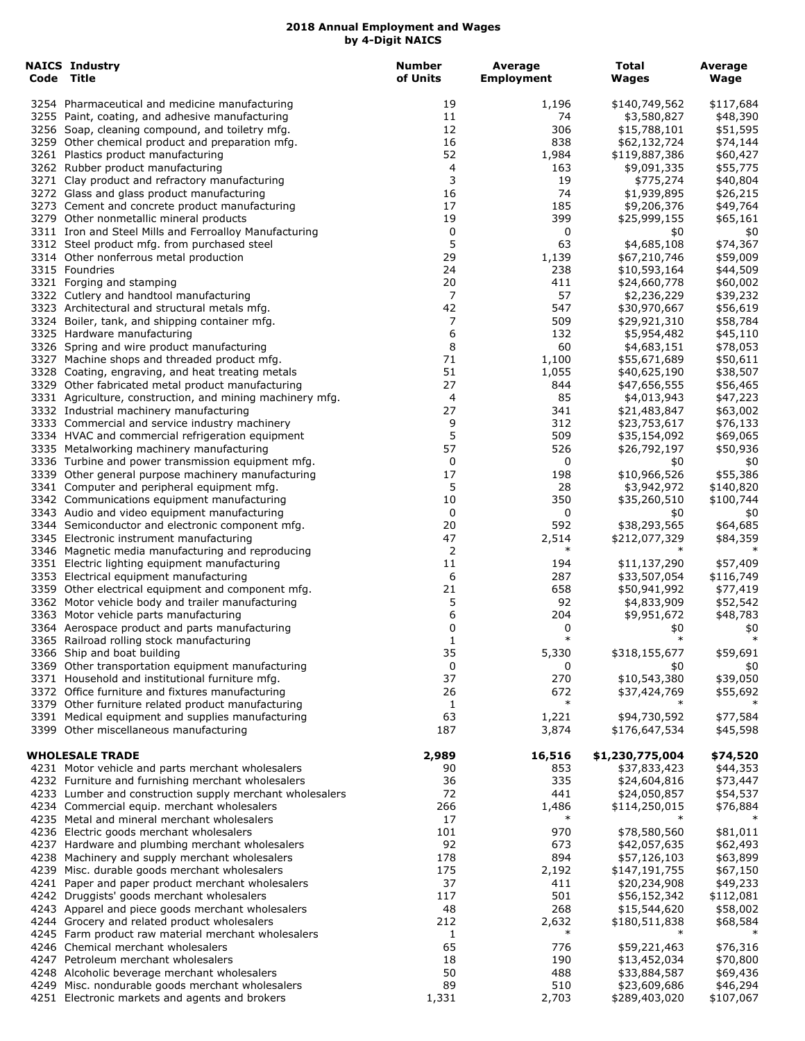| <b>NAICS Industry</b><br>Code Title                                                                    | <b>Number</b><br>of Units | Average<br><b>Employment</b> | <b>Total</b><br>Wages         | Average<br>Wage       |
|--------------------------------------------------------------------------------------------------------|---------------------------|------------------------------|-------------------------------|-----------------------|
| 3254 Pharmaceutical and medicine manufacturing                                                         | 19                        | 1,196                        | \$140,749,562                 | \$117,684             |
| 3255 Paint, coating, and adhesive manufacturing                                                        | 11                        | 74                           | \$3,580,827                   | \$48,390              |
| 3256 Soap, cleaning compound, and toiletry mfg.                                                        | 12                        | 306                          | \$15,788,101                  | \$51,595              |
| 3259 Other chemical product and preparation mfg.                                                       | 16                        | 838                          | \$62,132,724                  | \$74,144              |
| 3261 Plastics product manufacturing                                                                    | 52                        | 1,984                        | \$119,887,386                 | \$60,427              |
| 3262 Rubber product manufacturing                                                                      | 4                         | 163                          | \$9,091,335                   | \$55,775              |
| 3271 Clay product and refractory manufacturing                                                         | 3                         | 19                           | \$775,274                     | \$40,804              |
| 3272 Glass and glass product manufacturing                                                             | 16<br>17                  | 74<br>185                    | \$1,939,895<br>\$9,206,376    | \$26,215              |
| 3273 Cement and concrete product manufacturing<br>3279 Other nonmetallic mineral products              | 19                        | 399                          | \$25,999,155                  | \$49,764<br>\$65,161  |
| 3311 Iron and Steel Mills and Ferroalloy Manufacturing                                                 | 0                         | 0                            | \$0                           | \$0                   |
| 3312 Steel product mfg. from purchased steel                                                           | 5                         | 63                           | \$4,685,108                   | \$74,367              |
| 3314 Other nonferrous metal production                                                                 | 29                        | 1,139                        | \$67,210,746                  | \$59,009              |
| 3315 Foundries                                                                                         | 24                        | 238                          | \$10,593,164                  | \$44,509              |
| 3321 Forging and stamping                                                                              | 20                        | 411                          | \$24,660,778                  | \$60,002              |
| 3322 Cutlery and handtool manufacturing                                                                | 7                         | 57                           | \$2,236,229                   | \$39,232              |
| 3323 Architectural and structural metals mfg.                                                          | 42                        | 547                          | \$30,970,667                  | \$56,619              |
| 3324 Boiler, tank, and shipping container mfg.                                                         | 7                         | 509                          | \$29,921,310                  | \$58,784              |
| 3325 Hardware manufacturing                                                                            | 6                         | 132                          | \$5,954,482                   | \$45,110              |
| 3326 Spring and wire product manufacturing                                                             | 8                         | 60                           | \$4,683,151                   | \$78,053              |
| 3327 Machine shops and threaded product mfg.                                                           | 71                        | 1,100                        | \$55,671,689                  | \$50,611              |
| 3328 Coating, engraving, and heat treating metals<br>3329 Other fabricated metal product manufacturing | 51<br>27                  | 1,055<br>844                 | \$40,625,190                  | \$38,507              |
| 3331 Agriculture, construction, and mining machinery mfg.                                              | 4                         | 85                           | \$47,656,555<br>\$4,013,943   | \$56,465              |
| 3332 Industrial machinery manufacturing                                                                | 27                        | 341                          | \$21,483,847                  | \$47,223<br>\$63,002  |
| 3333 Commercial and service industry machinery                                                         | 9                         | 312                          | \$23,753,617                  | \$76,133              |
| 3334 HVAC and commercial refrigeration equipment                                                       | 5                         | 509                          | \$35,154,092                  | \$69,065              |
| 3335 Metalworking machinery manufacturing                                                              | 57                        | 526                          | \$26,792,197                  | \$50,936              |
| 3336 Turbine and power transmission equipment mfg.                                                     | 0                         | 0                            | \$0                           | \$0                   |
| 3339 Other general purpose machinery manufacturing                                                     | 17                        | 198                          | \$10,966,526                  | \$55,386              |
| 3341 Computer and peripheral equipment mfg.                                                            | 5                         | 28                           | \$3,942,972                   | \$140,820             |
| 3342 Communications equipment manufacturing                                                            | 10                        | 350                          | \$35,260,510                  | \$100,744             |
| 3343 Audio and video equipment manufacturing                                                           | 0                         | 0                            | \$0                           | \$0                   |
| 3344 Semiconductor and electronic component mfg.                                                       | 20                        | 592                          | \$38,293,565                  | \$64,685              |
| 3345 Electronic instrument manufacturing                                                               | 47                        | 2,514                        | \$212,077,329                 | \$84,359              |
| 3346 Magnetic media manufacturing and reproducing                                                      | 2                         | $\ast$                       |                               |                       |
| 3351 Electric lighting equipment manufacturing                                                         | 11<br>6                   | 194<br>287                   | \$11,137,290<br>\$33,507,054  | \$57,409              |
| 3353 Electrical equipment manufacturing<br>3359 Other electrical equipment and component mfg.          | 21                        | 658                          | \$50,941,992                  | \$116,749<br>\$77,419 |
| 3362 Motor vehicle body and trailer manufacturing                                                      | 5                         | 92                           | \$4,833,909                   | \$52,542              |
| 3363 Motor vehicle parts manufacturing                                                                 | 6                         | 204                          | \$9,951,672                   | \$48,783              |
| 3364 Aerospace product and parts manufacturing                                                         | 0                         | 0                            | \$0                           | \$0                   |
| 3365 Railroad rolling stock manufacturing                                                              | $\mathbf{1}$              | $\ast$                       | $\ast$                        | $\ast$                |
| 3366 Ship and boat building                                                                            | 35                        | 5,330                        | \$318,155,677                 | \$59,691              |
| 3369 Other transportation equipment manufacturing                                                      | 0                         | 0                            | \$0                           | \$0                   |
| 3371 Household and institutional furniture mfg.                                                        | 37                        | 270                          | \$10,543,380                  | \$39,050              |
| 3372 Office furniture and fixtures manufacturing                                                       | 26                        | 672                          | \$37,424,769                  | \$55,692              |
| 3379 Other furniture related product manufacturing                                                     | 1                         | $\ast$                       |                               |                       |
| 3391 Medical equipment and supplies manufacturing<br>3399 Other miscellaneous manufacturing            | 63<br>187                 | 1,221<br>3,874               | \$94,730,592                  | \$77,584              |
|                                                                                                        |                           |                              | \$176,647,534                 | \$45,598              |
| <b>WHOLESALE TRADE</b>                                                                                 | 2,989                     | 16,516                       | \$1,230,775,004               | \$74,520              |
| 4231 Motor vehicle and parts merchant wholesalers                                                      | 90                        | 853                          | \$37,833,423                  | \$44,353              |
| 4232 Furniture and furnishing merchant wholesalers                                                     | 36                        | 335                          | \$24,604,816                  | \$73,447              |
| 4233 Lumber and construction supply merchant wholesalers                                               | 72                        | 441                          | \$24,050,857                  | \$54,537              |
| 4234 Commercial equip. merchant wholesalers                                                            | 266                       | 1,486                        | \$114,250,015                 | \$76,884              |
| 4235 Metal and mineral merchant wholesalers                                                            | 17                        | $\ast$                       |                               |                       |
| 4236 Electric goods merchant wholesalers                                                               | 101                       | 970                          | \$78,580,560                  | \$81,011              |
| 4237 Hardware and plumbing merchant wholesalers                                                        | 92                        | 673                          | \$42,057,635                  | \$62,493              |
| 4238 Machinery and supply merchant wholesalers                                                         | 178                       | 894                          | \$57,126,103                  | \$63,899              |
| 4239 Misc. durable goods merchant wholesalers<br>4241 Paper and paper product merchant wholesalers     | 175<br>37                 | 2,192<br>411                 | \$147,191,755<br>\$20,234,908 | \$67,150<br>\$49,233  |
| 4242 Druggists' goods merchant wholesalers                                                             | 117                       | 501                          | \$56,152,342                  | \$112,081             |
| 4243 Apparel and piece goods merchant wholesalers                                                      | 48                        | 268                          | \$15,544,620                  | \$58,002              |
| 4244 Grocery and related product wholesalers                                                           | 212                       | 2,632                        | \$180,511,838                 | \$68,584              |
| 4245 Farm product raw material merchant wholesalers                                                    | 1                         | $\ast$                       | ∗                             | $\ast$                |
| 4246 Chemical merchant wholesalers                                                                     | 65                        | 776                          | \$59,221,463                  | \$76,316              |
| 4247 Petroleum merchant wholesalers                                                                    | 18                        | 190                          | \$13,452,034                  | \$70,800              |
| 4248 Alcoholic beverage merchant wholesalers                                                           | 50                        | 488                          | \$33,884,587                  | \$69,436              |
| 4249 Misc. nondurable goods merchant wholesalers                                                       | 89                        | 510                          | \$23,609,686                  | \$46,294              |
| 4251 Electronic markets and agents and brokers                                                         | 1,331                     | 2,703                        | \$289,403,020                 | \$107,067             |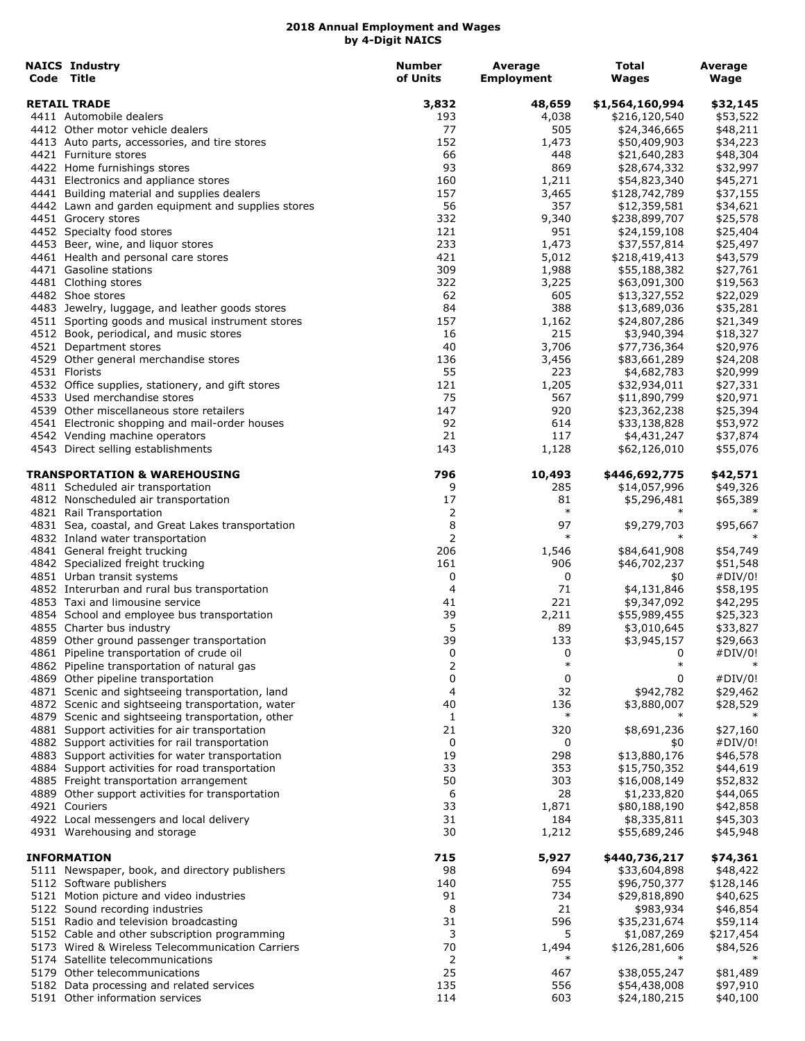| <b>NAICS Industry</b><br>Code Title                                                                  | <b>Number</b><br>of Units | Average<br><b>Employment</b> | <b>Total</b><br><b>Wages</b> | Average<br>Wage      |
|------------------------------------------------------------------------------------------------------|---------------------------|------------------------------|------------------------------|----------------------|
| <b>RETAIL TRADE</b>                                                                                  | 3,832                     | 48,659                       | \$1,564,160,994              | \$32,145             |
| 4411 Automobile dealers                                                                              | 193                       | 4,038                        | \$216,120,540                | \$53,522             |
| 4412 Other motor vehicle dealers                                                                     | 77                        | 505                          | \$24,346,665                 | \$48,211             |
| 4413 Auto parts, accessories, and tire stores                                                        | 152                       | 1,473                        | \$50,409,903                 | \$34,223             |
| 4421 Furniture stores                                                                                | 66                        | 448                          | \$21,640,283                 | \$48,304             |
| 4422 Home furnishings stores                                                                         | 93                        | 869                          | \$28,674,332                 | \$32,997             |
| 4431 Electronics and appliance stores                                                                | 160                       | 1,211                        | \$54,823,340                 | \$45,271             |
| 4441 Building material and supplies dealers                                                          | 157                       | 3,465                        | \$128,742,789                | \$37,155             |
| 4442 Lawn and garden equipment and supplies stores                                                   | 56                        | 357                          | \$12,359,581                 | \$34,621             |
| 4451 Grocery stores                                                                                  | 332                       | 9,340                        | \$238,899,707                | \$25,578             |
| 4452 Specialty food stores                                                                           | 121                       | 951                          | \$24,159,108                 | \$25,404             |
| 4453 Beer, wine, and liquor stores                                                                   | 233                       | 1,473                        | \$37,557,814                 | \$25,497             |
| 4461 Health and personal care stores                                                                 | 421                       | 5,012                        | \$218,419,413                | \$43,579             |
| 4471 Gasoline stations                                                                               | 309                       | 1,988                        | \$55,188,382                 | \$27,761             |
| 4481 Clothing stores                                                                                 | 322                       | 3,225                        | \$63,091,300                 | \$19,563             |
| 4482 Shoe stores                                                                                     | 62<br>84                  | 605<br>388                   | \$13,327,552                 | \$22,029             |
| 4483 Jewelry, luggage, and leather goods stores<br>4511 Sporting goods and musical instrument stores | 157                       | 1,162                        | \$13,689,036<br>\$24,807,286 | \$35,281<br>\$21,349 |
| 4512 Book, periodical, and music stores                                                              | 16                        | 215                          | \$3,940,394                  | \$18,327             |
| 4521 Department stores                                                                               | 40                        | 3,706                        | \$77,736,364                 | \$20,976             |
| 4529 Other general merchandise stores                                                                | 136                       | 3,456                        | \$83,661,289                 | \$24,208             |
| 4531 Florists                                                                                        | 55                        | 223                          | \$4,682,783                  | \$20,999             |
| 4532 Office supplies, stationery, and gift stores                                                    | 121                       | 1,205                        | \$32,934,011                 | \$27,331             |
| 4533 Used merchandise stores                                                                         | 75                        | 567                          | \$11,890,799                 | \$20,971             |
| 4539 Other miscellaneous store retailers                                                             | 147                       | 920                          | \$23,362,238                 | \$25,394             |
| 4541 Electronic shopping and mail-order houses                                                       | 92                        | 614                          | \$33,138,828                 | \$53,972             |
| 4542 Vending machine operators                                                                       | 21                        | 117                          | \$4,431,247                  | \$37,874             |
| 4543 Direct selling establishments                                                                   | 143                       | 1,128                        | \$62,126,010                 | \$55,076             |
| TRANSPORTATION & WAREHOUSING                                                                         | 796                       | 10,493                       | \$446,692,775                | \$42,571             |
| 4811 Scheduled air transportation                                                                    | 9                         | 285                          | \$14,057,996                 | \$49,326             |
| 4812 Nonscheduled air transportation<br>4821 Rail Transportation                                     | 17<br>2                   | 81<br>$\ast$                 | \$5,296,481                  | \$65,389             |
| 4831 Sea, coastal, and Great Lakes transportation                                                    | 8                         | 97                           | \$9,279,703                  | \$95,667             |
| 4832 Inland water transportation                                                                     | $\overline{2}$            | $\ast$                       |                              |                      |
| 4841 General freight trucking                                                                        | 206                       | 1,546                        | \$84,641,908                 | \$54,749             |
| 4842 Specialized freight trucking                                                                    | 161                       | 906                          | \$46,702,237                 | \$51,548             |
| 4851 Urban transit systems                                                                           | 0                         | 0                            | \$0                          | #DIV/0!              |
| 4852 Interurban and rural bus transportation                                                         | 4                         | 71                           | \$4,131,846                  | \$58,195             |
| 4853 Taxi and limousine service                                                                      | 41                        | 221                          | \$9,347,092                  | \$42,295             |
| 4854 School and employee bus transportation                                                          | 39                        | 2,211                        | \$55,989,455                 | \$25,323             |
| 4855 Charter bus industry                                                                            | 5                         | 89                           | \$3,010,645                  | \$33,827             |
| 4859 Other ground passenger transportation                                                           | 39                        | 133                          | \$3,945,157                  | \$29,663             |
| 4861 Pipeline transportation of crude oil                                                            | 0                         | 0                            | 0                            | #DIV/0!              |
| 4862 Pipeline transportation of natural gas                                                          | 2                         | $\ast$                       | $\ast$                       |                      |
| 4869 Other pipeline transportation                                                                   | 0                         | 0                            | 0                            | #DIV/0!              |
| 4871 Scenic and sightseeing transportation, land                                                     | 4                         | 32                           | \$942,782                    | \$29,462             |
| 4872 Scenic and sightseeing transportation, water                                                    | 40                        | 136                          | \$3,880,007                  | \$28,529             |
| 4879 Scenic and sightseeing transportation, other                                                    | 1                         | $\ast$                       | $\ast$                       |                      |
| 4881 Support activities for air transportation                                                       | 21                        | 320                          | \$8,691,236                  | \$27,160             |
| 4882 Support activities for rail transportation                                                      | 0                         | 0                            | \$0                          | #DIV/0!              |
| 4883 Support activities for water transportation                                                     | 19                        | 298                          | \$13,880,176                 | \$46,578             |
| 4884 Support activities for road transportation                                                      | 33                        | 353                          | \$15,750,352                 | \$44,619             |
| 4885 Freight transportation arrangement                                                              | 50                        | 303                          | \$16,008,149                 | \$52,832             |
| 4889 Other support activities for transportation                                                     | 6                         | 28                           | \$1,233,820                  | \$44,065             |
| 4921 Couriers                                                                                        | 33                        | 1,871                        | \$80,188,190                 | \$42,858             |
| 4922 Local messengers and local delivery                                                             | 31                        | 184                          | \$8,335,811                  | \$45,303             |
| 4931 Warehousing and storage                                                                         | 30                        | 1,212                        | \$55,689,246                 | \$45,948             |
| <b>INFORMATION</b>                                                                                   | 715                       | 5,927                        | \$440,736,217                | \$74,361             |
| 5111 Newspaper, book, and directory publishers                                                       | 98                        | 694                          | \$33,604,898                 | \$48,422             |
| 5112 Software publishers                                                                             | 140                       | 755                          | \$96,750,377                 | \$128,146            |
| 5121 Motion picture and video industries                                                             | 91                        | 734                          | \$29,818,890                 | \$40,625             |
| 5122 Sound recording industries                                                                      | 8                         | 21                           | \$983,934                    | \$46,854             |
| 5151 Radio and television broadcasting                                                               | 31                        | 596                          | \$35,231,674                 | \$59,114             |
| 5152 Cable and other subscription programming                                                        | 3                         | 5                            | \$1,087,269                  | \$217,454            |
| 5173 Wired & Wireless Telecommunication Carriers                                                     | 70                        | 1,494<br>$\ast$              | \$126,281,606                | \$84,526             |
| 5174 Satellite telecommunications                                                                    | 2                         |                              |                              |                      |
| 5179 Other telecommunications                                                                        | 25<br>135                 | 467                          | \$38,055,247                 | \$81,489             |
| 5182 Data processing and related services                                                            |                           | 556                          | \$54,438,008                 | \$97,910             |
| 5191 Other information services                                                                      | 114                       | 603                          | \$24,180,215                 | \$40,100             |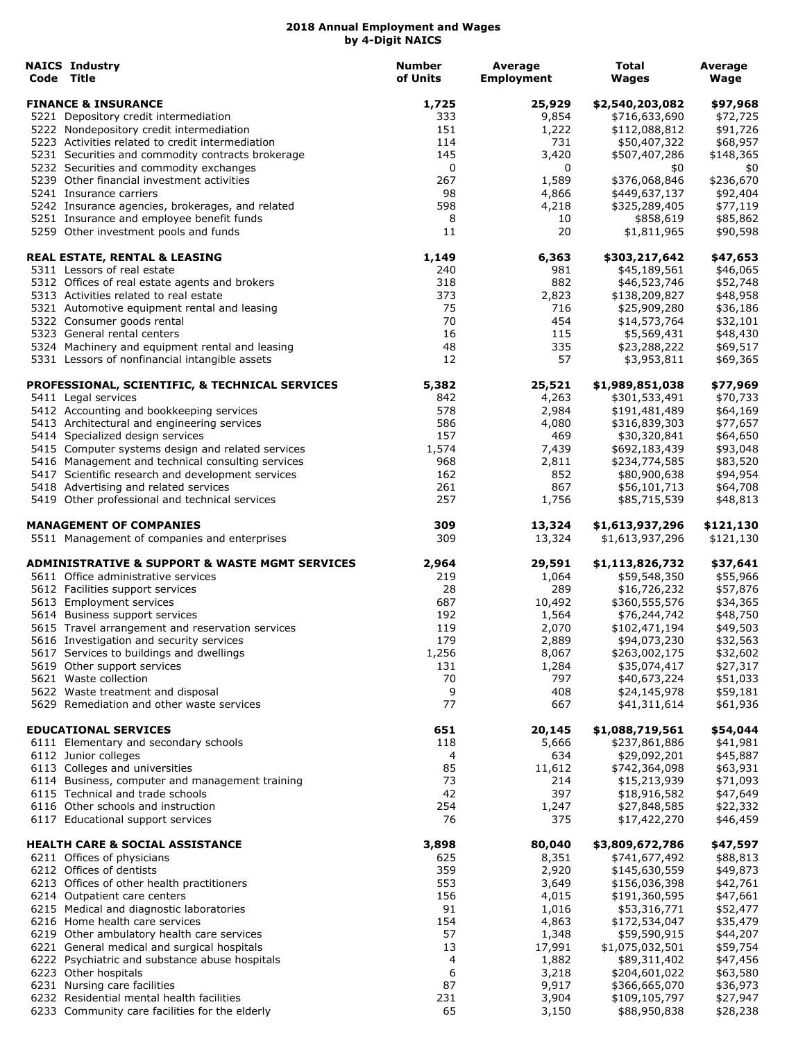| <b>NAICS Industry</b><br>Code Title                                                     | <b>Number</b><br>of Units | <b>Average</b><br><b>Employment</b> | Total<br>Wages                   | Average<br>Wage      |
|-----------------------------------------------------------------------------------------|---------------------------|-------------------------------------|----------------------------------|----------------------|
| <b>FINANCE &amp; INSURANCE</b>                                                          | 1,725                     | 25,929                              | \$2,540,203,082                  | \$97,968             |
| 5221 Depository credit intermediation                                                   | 333                       | 9,854                               | \$716,633,690                    | \$72,725             |
| 5222 Nondepository credit intermediation                                                | 151                       | 1,222                               | \$112,088,812                    | \$91,726             |
| 5223 Activities related to credit intermediation                                        | 114                       | 731                                 | \$50,407,322                     | \$68,957             |
| 5231 Securities and commodity contracts brokerage                                       | 145                       | 3,420                               | \$507,407,286                    | \$148,365            |
| 5232 Securities and commodity exchanges                                                 | 0                         | 0                                   | \$0                              | \$0                  |
| 5239 Other financial investment activities                                              | 267                       | 1,589                               | \$376,068,846                    | \$236,670            |
| 5241 Insurance carriers                                                                 | 98                        | 4,866                               | \$449,637,137                    | \$92,404             |
| 5242 Insurance agencies, brokerages, and related                                        | 598                       | 4,218                               | \$325,289,405                    | \$77,119             |
| 5251 Insurance and employee benefit funds<br>5259 Other investment pools and funds      | 8<br>11                   | 10<br>20                            | \$858,619<br>\$1,811,965         | \$85,862<br>\$90,598 |
| <b>REAL ESTATE, RENTAL &amp; LEASING</b>                                                | 1,149                     | 6,363                               | \$303,217,642                    | \$47,653             |
| 5311 Lessors of real estate                                                             | 240                       | 981                                 | \$45,189,561                     | \$46,065             |
| 5312 Offices of real estate agents and brokers                                          | 318                       | 882                                 | \$46,523,746                     | \$52,748             |
| 5313 Activities related to real estate                                                  | 373                       | 2,823                               | \$138,209,827                    | \$48,958             |
| 5321 Automotive equipment rental and leasing                                            | 75                        | 716                                 | \$25,909,280                     | \$36,186             |
| 5322 Consumer goods rental                                                              | 70                        | 454                                 | \$14,573,764                     | \$32,101             |
| 5323 General rental centers                                                             | 16                        | 115                                 | \$5,569,431                      | \$48,430             |
| 5324 Machinery and equipment rental and leasing                                         | 48                        | 335                                 | \$23,288,222                     | \$69,517             |
| 5331 Lessors of nonfinancial intangible assets                                          | 12                        | 57                                  | \$3,953,811                      | \$69,365             |
| PROFESSIONAL, SCIENTIFIC, & TECHNICAL SERVICES                                          | 5,382                     | 25,521                              | \$1,989,851,038                  | \$77,969             |
| 5411 Legal services                                                                     | 842                       | 4,263                               | \$301,533,491                    | \$70,733             |
| 5412 Accounting and bookkeeping services                                                | 578                       | 2,984                               | \$191,481,489                    | \$64,169             |
| 5413 Architectural and engineering services                                             | 586                       | 4,080                               | \$316,839,303                    | \$77,657             |
| 5414 Specialized design services                                                        | 157                       | 469                                 | \$30,320,841                     | \$64,650             |
| 5415 Computer systems design and related services                                       | 1,574                     | 7,439                               | \$692,183,439                    | \$93,048             |
| 5416 Management and technical consulting services                                       | 968                       | 2,811                               | \$234,774,585                    | \$83,520             |
| 5417 Scientific research and development services                                       | 162<br>261                | 852<br>867                          | \$80,900,638                     | \$94,954             |
| 5418 Advertising and related services<br>5419 Other professional and technical services | 257                       | 1,756                               | \$56,101,713<br>\$85,715,539     | \$64,708<br>\$48,813 |
| <b>MANAGEMENT OF COMPANIES</b>                                                          | 309                       | 13,324                              | \$1,613,937,296                  | \$121,130            |
| 5511 Management of companies and enterprises                                            | 309                       | 13,324                              | \$1,613,937,296                  | \$121,130            |
| <b>ADMINISTRATIVE &amp; SUPPORT &amp; WASTE MGMT SERVICES</b>                           | 2,964                     | 29,591                              | \$1,113,826,732                  | \$37,641             |
| 5611 Office administrative services                                                     | 219                       | 1,064                               | \$59,548,350                     | \$55,966             |
| 5612 Facilities support services                                                        | 28                        | 289                                 | \$16,726,232                     | \$57,876             |
| 5613 Employment services                                                                | 687                       | 10,492                              | \$360,555,576                    | \$34,365             |
| 5614 Business support services                                                          | 192                       | 1,564                               | \$76,244,742                     | \$48,750             |
| 5615 Travel arrangement and reservation services                                        | 119                       | 2,070                               | \$102,471,194                    | \$49,503             |
| 5616 Investigation and security services                                                | 179                       | 2,889                               | \$94,073,230                     | \$32,563             |
| 5617 Services to buildings and dwellings                                                | 1,256                     | 8,067                               | \$263,002,175                    | \$32,602             |
| 5619 Other support services                                                             | 131                       | 1,284                               | \$35,074,417                     | \$27,317             |
| 5621 Waste collection                                                                   | 70                        | 797                                 | \$40,673,224                     | \$51,033             |
| 5622 Waste treatment and disposal                                                       | 9                         | 408                                 | \$24,145,978                     | \$59,181             |
| 5629 Remediation and other waste services                                               | 77                        | 667                                 | \$41,311,614                     | \$61,936             |
| <b>EDUCATIONAL SERVICES</b>                                                             | 651                       | 20,145                              | \$1,088,719,561                  | \$54,044             |
| 6111 Elementary and secondary schools                                                   | 118                       | 5,666                               | \$237,861,886                    | \$41,981             |
| 6112 Junior colleges                                                                    | 4                         | 634                                 | \$29,092,201                     | \$45,887             |
| 6113 Colleges and universities                                                          | 85                        | 11,612                              | \$742,364,098                    | \$63,931             |
| 6114 Business, computer and management training                                         | 73                        | 214                                 | \$15,213,939                     | \$71,093             |
| 6115 Technical and trade schools                                                        | 42                        | 397                                 | \$18,916,582                     | \$47,649             |
| 6116 Other schools and instruction<br>6117 Educational support services                 | 254<br>76                 | 1,247<br>375                        | \$27,848,585<br>\$17,422,270     | \$22,332<br>\$46,459 |
|                                                                                         |                           |                                     |                                  |                      |
| <b>HEALTH CARE &amp; SOCIAL ASSISTANCE</b><br>6211 Offices of physicians                | 3,898<br>625              | 80,040<br>8,351                     | \$3,809,672,786<br>\$741,677,492 | \$47,597<br>\$88,813 |
| 6212 Offices of dentists                                                                | 359                       | 2,920                               | \$145,630,559                    | \$49,873             |
| 6213 Offices of other health practitioners                                              | 553                       | 3,649                               | \$156,036,398                    | \$42,761             |
| 6214 Outpatient care centers                                                            | 156                       | 4,015                               | \$191,360,595                    | \$47,661             |
| 6215 Medical and diagnostic laboratories                                                | 91                        | 1,016                               | \$53,316,771                     | \$52,477             |
| 6216 Home health care services                                                          | 154                       | 4,863                               | \$172,534,047                    | \$35,479             |
| 6219 Other ambulatory health care services                                              | 57                        | 1,348                               | \$59,590,915                     | \$44,207             |
| 6221 General medical and surgical hospitals                                             | 13                        | 17,991                              | \$1,075,032,501                  | \$59,754             |
| 6222 Psychiatric and substance abuse hospitals                                          | 4                         | 1,882                               | \$89,311,402                     | \$47,456             |
| 6223 Other hospitals                                                                    | 6                         | 3,218                               | \$204,601,022                    | \$63,580             |
| 6231 Nursing care facilities                                                            | 87                        | 9,917                               | \$366,665,070                    | \$36,973             |
| 6232 Residential mental health facilities                                               | 231                       | 3,904                               | \$109,105,797                    | \$27,947             |
| 6233 Community care facilities for the elderly                                          | 65                        | 3,150                               | \$88,950,838                     | \$28,238             |